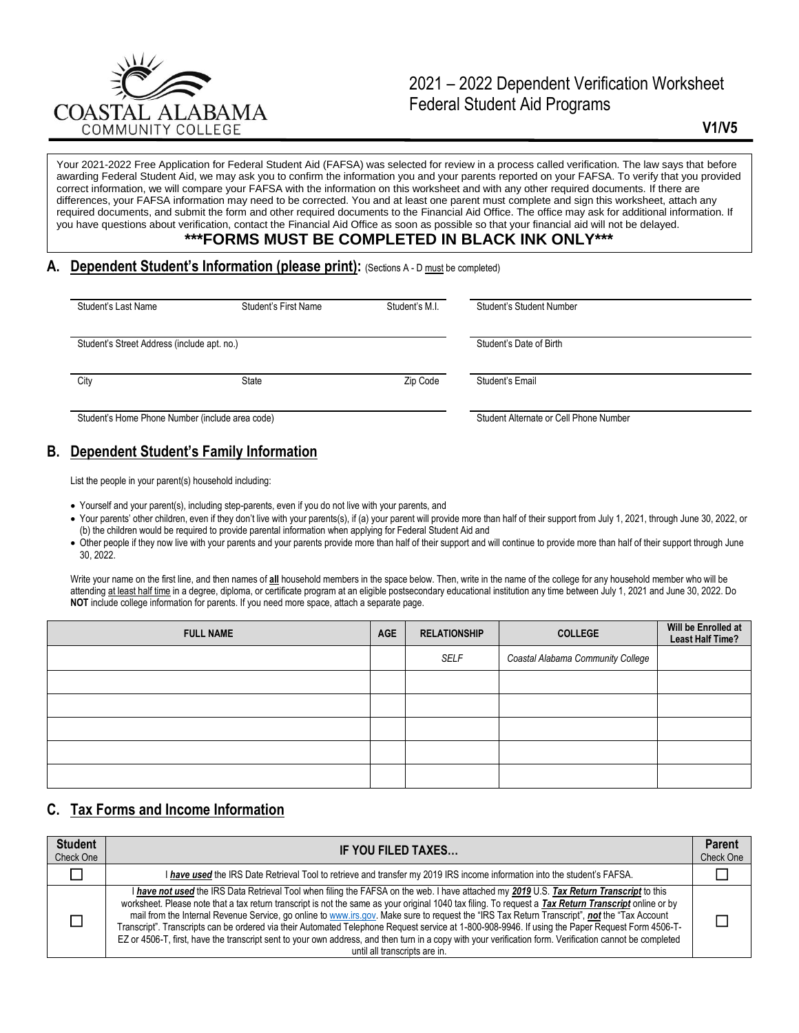

# 2021 – 2022 Dependent Verification Worksheet Federal Student Aid Programs

**V1/V5**

Your 2021-2022 Free Application for Federal Student Aid (FAFSA) was selected for review in a process called verification. The law says that before awarding Federal Student Aid, we may ask you to confirm the information you and your parents reported on your FAFSA. To verify that you provided correct information, we will compare your FAFSA with the information on this worksheet and with any other required documents. If there are differences, your FAFSA information may need to be corrected. You and at least one parent must complete and sign this worksheet, attach any required documents, and submit the form and other required documents to the Financial Aid Office. The office may ask for additional information. If you have questions about verification, contact the Financial Aid Office as soon as possible so that your financial aid will not be delayed.

## **\*\*\*FORMS MUST BE COMPLETED IN BLACK INK ONLY\*\*\***

#### **A. Dependent Student's Information (please print):** (Sections A - D must be completed)

| Student's Last Name                             | Student's First Name | Student's M.I. | Student's Student Number               |  |
|-------------------------------------------------|----------------------|----------------|----------------------------------------|--|
|                                                 |                      |                |                                        |  |
|                                                 |                      |                |                                        |  |
| Student's Street Address (include apt. no.)     |                      |                | Student's Date of Birth                |  |
|                                                 |                      |                |                                        |  |
|                                                 |                      |                |                                        |  |
| City                                            | State                | Zip Code       | Student's Email                        |  |
|                                                 |                      |                |                                        |  |
|                                                 |                      |                |                                        |  |
| Student's Home Phone Number (include area code) |                      |                | Student Alternate or Cell Phone Number |  |
|                                                 |                      |                |                                        |  |

# **B. Dependent Student's Family Information**

List the people in your parent(s) household including:

- Yourself and your parent(s), including step-parents, even if you do not live with your parents, and
- Your parents' other children, even if they don't live with your parents(s), if (a) your parent will provide more than half of their support from July 1, 2021, through June 30, 2022, or (b) the children would be required to provide parental information when applying for Federal Student Aid and
- Other people if they now live with your parents and your parents provide more than half of their support and will continue to provide more than half of their support through June 30, 2022.

Write your name on the first line, and then names of **all** household members in the space below. Then, write in the name of the college for any household member who will be attending at least half time in a degree, diploma, or certificate program at an eligible postsecondary educational institution any time between July 1, 2021 and June 30, 2022. Do **NOT** include college information for parents. If you need more space, attach a separate page.

| <b>FULL NAME</b> | <b>AGE</b> | <b>RELATIONSHIP</b> | <b>COLLEGE</b>                    | Will be Enrolled at<br><b>Least Half Time?</b> |
|------------------|------------|---------------------|-----------------------------------|------------------------------------------------|
|                  |            | SELF                | Coastal Alabama Community College |                                                |
|                  |            |                     |                                   |                                                |
|                  |            |                     |                                   |                                                |
|                  |            |                     |                                   |                                                |
|                  |            |                     |                                   |                                                |
|                  |            |                     |                                   |                                                |

# **C. Tax Forms and Income Information**

| <b>Student</b><br>Check One | IF YOU FILED TAXES                                                                                                                                                                                                                                                                                                                                                                                                                                                                                                                                                                                                                                                                                                                                                                                 |  |
|-----------------------------|----------------------------------------------------------------------------------------------------------------------------------------------------------------------------------------------------------------------------------------------------------------------------------------------------------------------------------------------------------------------------------------------------------------------------------------------------------------------------------------------------------------------------------------------------------------------------------------------------------------------------------------------------------------------------------------------------------------------------------------------------------------------------------------------------|--|
|                             | I have used the IRS Date Retrieval Tool to retrieve and transfer my 2019 IRS income information into the student's FAFSA.                                                                                                                                                                                                                                                                                                                                                                                                                                                                                                                                                                                                                                                                          |  |
|                             | I have not used the IRS Data Retrieval Tool when filing the FAFSA on the web. I have attached my 2019 U.S. Tax Return Transcript to this<br>worksheet. Please note that a tax return transcript is not the same as your original 1040 tax filing. To request a Tax Return Transcript online or by<br>mail from the Internal Revenue Service, go online to www.irs.gov. Make sure to request the "IRS Tax Return Transcript", not the "Tax Account<br>Transcript". Transcripts can be ordered via their Automated Telephone Request service at 1-800-908-9946. If using the Paper Request Form 4506-T-<br>EZ or 4506-T, first, have the transcript sent to your own address, and then turn in a copy with your verification form. Verification cannot be completed<br>until all transcripts are in. |  |